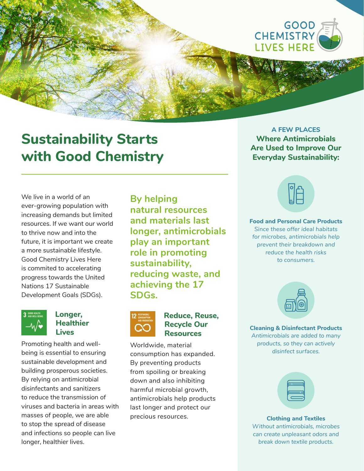

# **Sustainability Starts with Good Chemistry**

We live in a world of an ever-growing population with increasing demands but limited resources. If we want our world to thrive now and into the future, it is important we create a more sustainable lifestyle. Good Chemistry Lives Here is commited to accelerating progress towards the United Nations 17 Sustainable Development Goals (SDGs).



## **Longer, Healthier Lives**

Promoting health and wellbeing is essential to ensuring sustainable development and building prosperous societies. By relying on antimicrobial disinfectants and sanitizers to reduce the transmission of viruses and bacteria in areas with masses of people, we are able to stop the spread of disease and infections so people can live longer, healthier lives.

**By helping natural resources and materials last longer, antimicrobials play an important role in promoting sustainability, reducing waste, and achieving the 17 SDGs.**



## **Reduce, Reuse, Recycle Our Resources**

Worldwide, material consumption has expanded. By preventing products from spoiling or breaking down and also inhibiting harmful microbial growth, antimicrobials help products last longer and protect our precious resources.

## **A FEW PLACES Where Antimicrobials Are Used to Improve Our Everyday Sustainability:**

**Food and Personal Care Products** *Since these offer ideal habitats for microbes, antimicrobials help prevent their breakdown and reduce the health risks to consumers.*



**Cleaning & Disinfectant Products** *Antimicrobials are added to many products, so they can actively disinfect surfaces.*

**Clothing and Textiles** *Without antimicrobials, microbes can create unpleasant odors and break down textile products.*